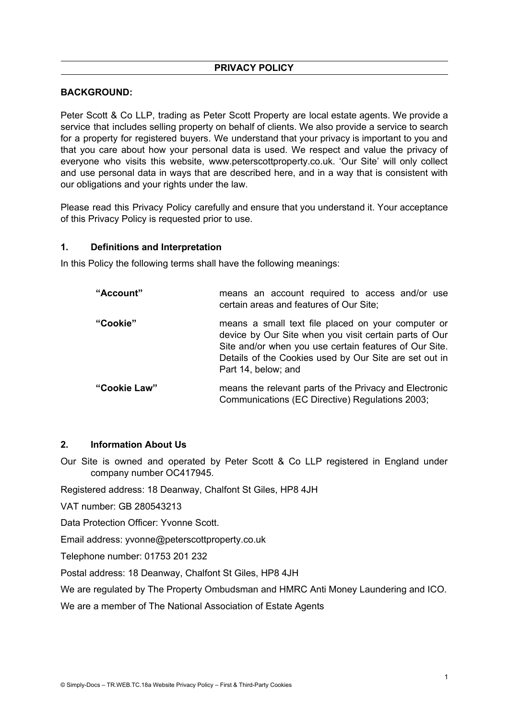## **BACKGROUND:**

Peter Scott & Co LLP, trading as Peter Scott Property are local estate agents. We provide a service that includes selling property on behalf of clients. We also provide a service to search for a property for registered buyers. We understand that your privacy is important to you and that you care about how your personal data is used. We respect and value the privacy of everyone who visits this website, www.peterscottproperty.co.uk. 'Our Site' will only collect and use personal data in ways that are described here, and in a way that is consistent with our obligations and your rights under the law.

Please read this Privacy Policy carefully and ensure that you understand it. Your acceptance of this Privacy Policy is requested prior to use.

#### **1. Definitions and Interpretation**

In this Policy the following terms shall have the following meanings:

| "Account"    | means an account required to access and/or use<br>certain areas and features of Our Site;                                                                                                                                                               |
|--------------|---------------------------------------------------------------------------------------------------------------------------------------------------------------------------------------------------------------------------------------------------------|
| "Cookie"     | means a small text file placed on your computer or<br>device by Our Site when you visit certain parts of Our<br>Site and/or when you use certain features of Our Site.<br>Details of the Cookies used by Our Site are set out in<br>Part 14, below; and |
| "Cookie Law" | means the relevant parts of the Privacy and Electronic<br>Communications (EC Directive) Regulations 2003;                                                                                                                                               |

## **2. Information About Us**

Our Site is owned and operated by Peter Scott & Co LLP registered in England under company number OC417945.

Registered address: 18 Deanway, Chalfont St Giles, HP8 4JH

VAT number: GB 280543213

Data Protection Officer: Yvonne Scott.

Email address: yvonne@peterscottproperty.co.uk

Telephone number: 01753 201 232

Postal address: 18 Deanway, Chalfont St Giles, HP8 4JH

We are regulated by The Property Ombudsman and HMRC Anti Money Laundering and ICO.

We are a member of The National Association of Estate Agents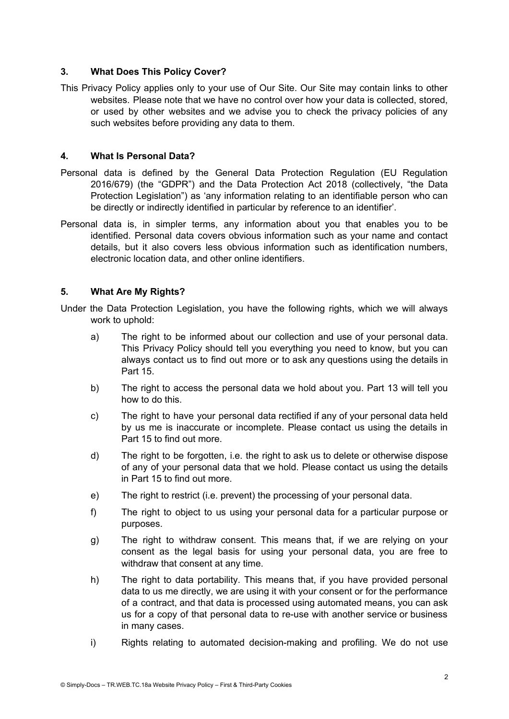## **3. What Does This Policy Cover?**

This Privacy Policy applies only to your use of Our Site. Our Site may contain links to other websites. Please note that we have no control over how your data is collected, stored, or used by other websites and we advise you to check the privacy policies of any such websites before providing any data to them.

### **4. What Is Personal Data?**

- Personal data is defined by the General Data Protection Regulation (EU Regulation 2016/679) (the "GDPR") and the Data Protection Act 2018 (collectively, "the Data Protection Legislation") as 'any information relating to an identifiable person who can be directly or indirectly identified in particular by reference to an identifier'.
- Personal data is, in simpler terms, any information about you that enables you to be identified. Personal data covers obvious information such as your name and contact details, but it also covers less obvious information such as identification numbers, electronic location data, and other online identifiers.

## **5. What Are My Rights?**

- Under the Data Protection Legislation, you have the following rights, which we will always work to uphold:
	- a) The right to be informed about our collection and use of your personal data. This Privacy Policy should tell you everything you need to know, but you can always contact us to find out more or to ask any questions using the details in Part 15.
	- b) The right to access the personal data we hold about you. Part 13 will tell you how to do this.
	- c) The right to have your personal data rectified if any of your personal data held by us me is inaccurate or incomplete. Please contact us using the details in Part 15 to find out more.
	- d) The right to be forgotten, i.e. the right to ask us to delete or otherwise dispose of any of your personal data that we hold. Please contact us using the details in Part 15 to find out more.
	- e) The right to restrict (i.e. prevent) the processing of your personal data.
	- f) The right to object to us using your personal data for a particular purpose or purposes.
	- g) The right to withdraw consent. This means that, if we are relying on your consent as the legal basis for using your personal data, you are free to withdraw that consent at any time.
	- h) The right to data portability. This means that, if you have provided personal data to us me directly, we are using it with your consent or for the performance of a contract, and that data is processed using automated means, you can ask us for a copy of that personal data to re-use with another service or business in many cases.
	- i) Rights relating to automated decision-making and profiling. We do not use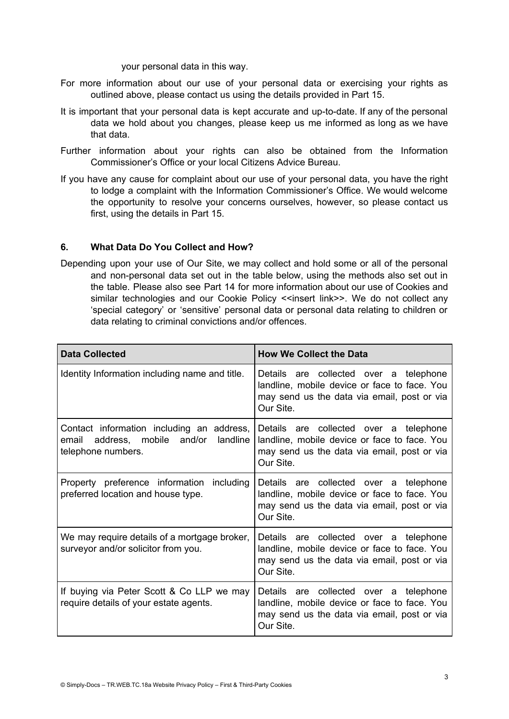your personal data in this way.

- For more information about our use of your personal data or exercising your rights as outlined above, please contact us using the details provided in Part 15.
- It is important that your personal data is kept accurate and up-to-date. If any of the personal data we hold about you changes, please keep us me informed as long as we have that data.
- Further information about your rights can also be obtained from the Information Commissioner's Office or your local Citizens Advice Bureau.
- If you have any cause for complaint about our use of your personal data, you have the right to lodge a complaint with the Information Commissioner's Office. We would welcome the opportunity to resolve your concerns ourselves, however, so please contact us first, using the details in Part 15.

### **6. What Data Do You Collect and How?**

Depending upon your use of Our Site, we may collect and hold some or all of the personal and non-personal data set out in the table below, using the methods also set out in the table. Please also see Part 14 for more information about our use of Cookies and similar technologies and our Cookie Policy <<insert link>>. We do not collect any 'special category' or 'sensitive' personal data or personal data relating to children or data relating to criminal convictions and/or offences.

| <b>Data Collected</b>                                                                                       | <b>How We Collect the Data</b>                                                                                                                     |  |
|-------------------------------------------------------------------------------------------------------------|----------------------------------------------------------------------------------------------------------------------------------------------------|--|
| Identity Information including name and title.                                                              | Details are collected over a telephone<br>landline, mobile device or face to face. You<br>may send us the data via email, post or via<br>Our Site. |  |
| Contact information including an address,<br>email address, mobile and/or<br>landline<br>telephone numbers. | Details are collected over a telephone<br>landline, mobile device or face to face. You<br>may send us the data via email, post or via<br>Our Site. |  |
| Property preference information including<br>preferred location and house type.                             | Details are collected over a telephone<br>landline, mobile device or face to face. You<br>may send us the data via email, post or via<br>Our Site. |  |
| We may require details of a mortgage broker,<br>surveyor and/or solicitor from you.                         | Details are collected over a telephone<br>landline, mobile device or face to face. You<br>may send us the data via email, post or via<br>Our Site. |  |
| If buying via Peter Scott & Co LLP we may<br>require details of your estate agents.                         | Details are collected over a telephone<br>landline, mobile device or face to face. You<br>may send us the data via email, post or via<br>Our Site. |  |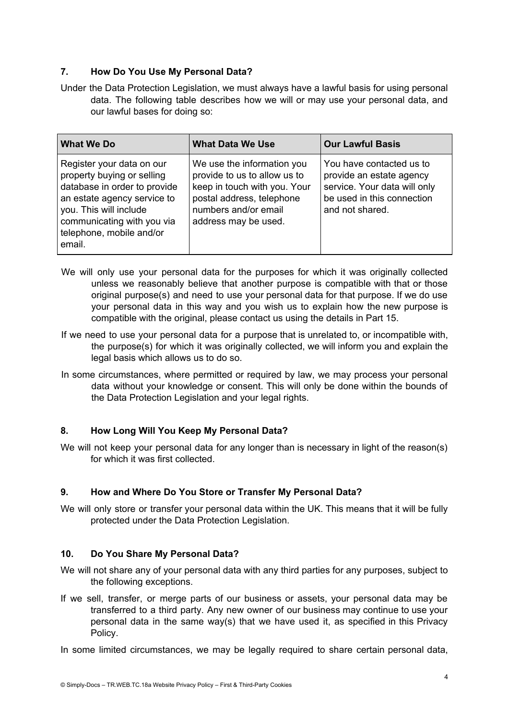## **7. How Do You Use My Personal Data?**

Under the Data Protection Legislation, we must always have a lawful basis for using personal data. The following table describes how we will or may use your personal data, and our lawful bases for doing so:

| <b>What We Do</b>                                                                                                                                                                                                    | <b>What Data We Use</b>                                                                                                                                                 | <b>Our Lawful Basis</b>                                                                                                               |
|----------------------------------------------------------------------------------------------------------------------------------------------------------------------------------------------------------------------|-------------------------------------------------------------------------------------------------------------------------------------------------------------------------|---------------------------------------------------------------------------------------------------------------------------------------|
| Register your data on our<br>property buying or selling<br>database in order to provide<br>an estate agency service to<br>you. This will include<br>communicating with you via<br>telephone, mobile and/or<br>email. | We use the information you<br>provide to us to allow us to<br>keep in touch with you. Your<br>postal address, telephone<br>numbers and/or email<br>address may be used. | You have contacted us to<br>provide an estate agency<br>service. Your data will only<br>be used in this connection<br>and not shared. |

- We will only use your personal data for the purposes for which it was originally collected unless we reasonably believe that another purpose is compatible with that or those original purpose(s) and need to use your personal data for that purpose. If we do use your personal data in this way and you wish us to explain how the new purpose is compatible with the original, please contact us using the details in Part 15.
- If we need to use your personal data for a purpose that is unrelated to, or incompatible with, the purpose(s) for which it was originally collected, we will inform you and explain the legal basis which allows us to do so.
- In some circumstances, where permitted or required by law, we may process your personal data without your knowledge or consent. This will only be done within the bounds of the Data Protection Legislation and your legal rights.

# **8. How Long Will You Keep My Personal Data?**

We will not keep your personal data for any longer than is necessary in light of the reason(s) for which it was first collected.

### **9. How and Where Do You Store or Transfer My Personal Data?**

We will only store or transfer your personal data within the UK. This means that it will be fully protected under the Data Protection Legislation.

### **10. Do You Share My Personal Data?**

- We will not share any of your personal data with any third parties for any purposes, subject to the following exceptions.
- If we sell, transfer, or merge parts of our business or assets, your personal data may be transferred to a third party. Any new owner of our business may continue to use your personal data in the same way(s) that we have used it, as specified in this Privacy Policy.

In some limited circumstances, we may be legally required to share certain personal data,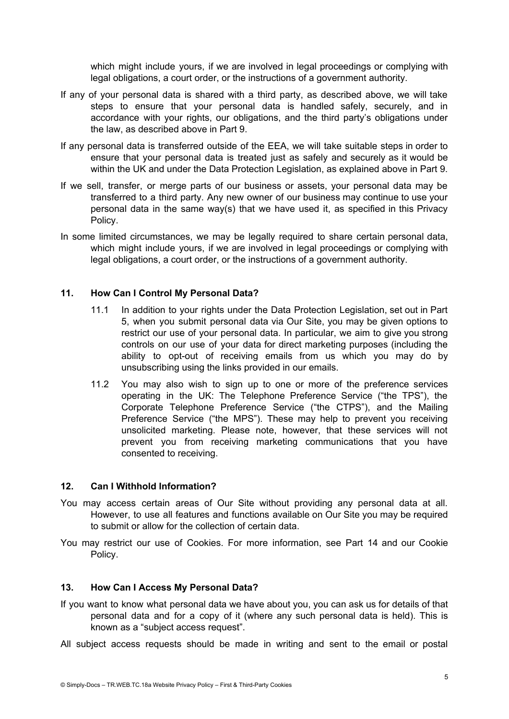which might include yours, if we are involved in legal proceedings or complying with legal obligations, a court order, or the instructions of a government authority.

- If any of your personal data is shared with a third party, as described above, we will take steps to ensure that your personal data is handled safely, securely, and in accordance with your rights, our obligations, and the third party's obligations under the law, as described above in Part 9.
- If any personal data is transferred outside of the EEA, we will take suitable steps in order to ensure that your personal data is treated just as safely and securely as it would be within the UK and under the Data Protection Legislation, as explained above in Part 9.
- If we sell, transfer, or merge parts of our business or assets, your personal data may be transferred to a third party. Any new owner of our business may continue to use your personal data in the same way(s) that we have used it, as specified in this Privacy Policy.
- In some limited circumstances, we may be legally required to share certain personal data, which might include yours, if we are involved in legal proceedings or complying with legal obligations, a court order, or the instructions of a government authority.

### **11. How Can I Control My Personal Data?**

- 11.1 In addition to your rights under the Data Protection Legislation, set out in Part 5, when you submit personal data via Our Site, you may be given options to restrict our use of your personal data. In particular, we aim to give you strong controls on our use of your data for direct marketing purposes (including the ability to opt-out of receiving emails from us which you may do by unsubscribing using the links provided in our emails.
- 11.2 You may also wish to sign up to one or more of the preference services operating in the UK: The Telephone Preference Service ("the TPS"), the Corporate Telephone Preference Service ("the CTPS"), and the Mailing Preference Service ("the MPS"). These may help to prevent you receiving unsolicited marketing. Please note, however, that these services will not prevent you from receiving marketing communications that you have consented to receiving.

#### **12. Can I Withhold Information?**

- You may access certain areas of Our Site without providing any personal data at all. However, to use all features and functions available on Our Site you may be required to submit or allow for the collection of certain data.
- You may restrict our use of Cookies. For more information, see Part 14 and our Cookie Policy.

#### **13. How Can I Access My Personal Data?**

- If you want to know what personal data we have about you, you can ask us for details of that personal data and for a copy of it (where any such personal data is held). This is known as a "subject access request".
- All subject access requests should be made in writing and sent to the email or postal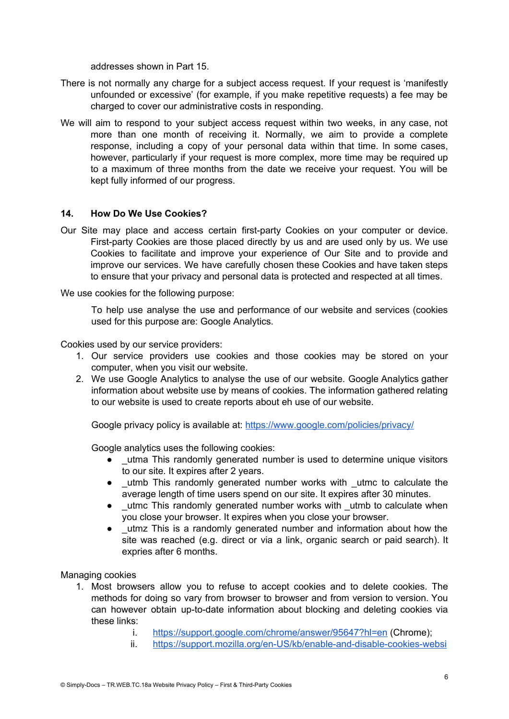addresses shown in Part 15.

- There is not normally any charge for a subject access request. If your request is 'manifestly unfounded or excessive' (for example, if you make repetitive requests) a fee may be charged to cover our administrative costs in responding.
- We will aim to respond to your subject access request within two weeks, in any case, not more than one month of receiving it. Normally, we aim to provide a complete response, including a copy of your personal data within that time. In some cases, however, particularly if your request is more complex, more time may be required up to a maximum of three months from the date we receive your request. You will be kept fully informed of our progress.

### **14. How Do We Use Cookies?**

Our Site may place and access certain first-party Cookies on your computer or device. First-party Cookies are those placed directly by us and are used only by us. We use Cookies to facilitate and improve your experience of Our Site and to provide and improve our services. We have carefully chosen these Cookies and have taken steps to ensure that your privacy and personal data is protected and respected at all times.

We use cookies for the following purpose:

To help use analyse the use and performance of our website and services (cookies used for this purpose are: Google Analytics.

Cookies used by our service providers:

- 1. Our service providers use cookies and those cookies may be stored on your computer, when you visit our website.
- 2. We use Google Analytics to analyse the use of our website. Google Analytics gather information about website use by means of cookies. The information gathered relating to our website is used to create reports about eh use of our website.

Google privacy policy is available at: <https://www.google.com/policies/privacy/>

Google analytics uses the following cookies:

- utma This randomly generated number is used to determine unique visitors to our site. It expires after 2 years.
- \_utmb This randomly generated number works with \_utmc to calculate the average length of time users spend on our site. It expires after 30 minutes.
- Lutmc This randomly generated number works with utmb to calculate when you close your browser. It expires when you close your browser.
- utmz This is a randomly generated number and information about how the site was reached (e.g. direct or via a link, organic search or paid search). It expries after 6 months.

Managing cookies

- 1. Most browsers allow you to refuse to accept cookies and to delete cookies. The methods for doing so vary from browser to browser and from version to version. You can however obtain up-to-date information about blocking and deleting cookies via these links:
	- i. <https://support.google.com/chrome/answer/95647?hl=en> (Chrome);
	- ii. [https://support.mozilla.org/en-US/kb/enable-and-disable-cookies-websi](https://support.mozilla.org/en-US/kb/enable-and-disable-cookies-website-preferences)